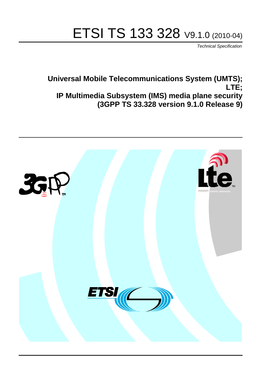# ETSI TS 133 328 V9.1.0 (2010-04)

*Technical Specification*

**Universal Mobile Telecommunications System (UMTS); LTE; IP Multimedia Subsystem (IMS) media plane security (3GPP TS 33.328 version 9.1.0 Release 9)**

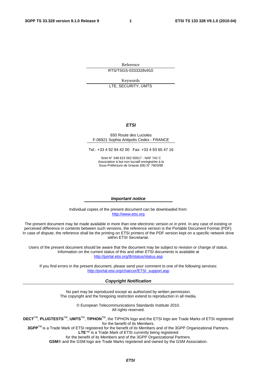Reference RTS/TSGS-0333328v910

Keywords LTE, SECURITY, UMTS

#### *ETSI*

#### 650 Route des Lucioles F-06921 Sophia Antipolis Cedex - FRANCE

Tel.: +33 4 92 94 42 00 Fax: +33 4 93 65 47 16

Siret N° 348 623 562 00017 - NAF 742 C Association à but non lucratif enregistrée à la Sous-Préfecture de Grasse (06) N° 7803/88

#### *Important notice*

Individual copies of the present document can be downloaded from: [http://www.etsi.org](http://www.etsi.org/)

The present document may be made available in more than one electronic version or in print. In any case of existing or perceived difference in contents between such versions, the reference version is the Portable Document Format (PDF). In case of dispute, the reference shall be the printing on ETSI printers of the PDF version kept on a specific network drive within ETSI Secretariat.

Users of the present document should be aware that the document may be subject to revision or change of status. Information on the current status of this and other ETSI documents is available at <http://portal.etsi.org/tb/status/status.asp>

If you find errors in the present document, please send your comment to one of the following services: [http://portal.etsi.org/chaircor/ETSI\\_support.asp](http://portal.etsi.org/chaircor/ETSI_support.asp)

#### *Copyright Notification*

No part may be reproduced except as authorized by written permission. The copyright and the foregoing restriction extend to reproduction in all media.

> © European Telecommunications Standards Institute 2010. All rights reserved.

**DECT**TM, **PLUGTESTS**TM, **UMTS**TM, **TIPHON**TM, the TIPHON logo and the ETSI logo are Trade Marks of ETSI registered for the benefit of its Members.

**3GPP**TM is a Trade Mark of ETSI registered for the benefit of its Members and of the 3GPP Organizational Partners. **LTE**™ is a Trade Mark of ETSI currently being registered

for the benefit of its Members and of the 3GPP Organizational Partners.

**GSM**® and the GSM logo are Trade Marks registered and owned by the GSM Association.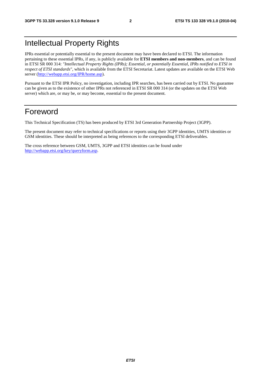## Intellectual Property Rights

IPRs essential or potentially essential to the present document may have been declared to ETSI. The information pertaining to these essential IPRs, if any, is publicly available for **ETSI members and non-members**, and can be found in ETSI SR 000 314: *"Intellectual Property Rights (IPRs); Essential, or potentially Essential, IPRs notified to ETSI in respect of ETSI standards"*, which is available from the ETSI Secretariat. Latest updates are available on the ETSI Web server ([http://webapp.etsi.org/IPR/home.asp\).](http://webapp.etsi.org/IPR/home.asp)

Pursuant to the ETSI IPR Policy, no investigation, including IPR searches, has been carried out by ETSI. No guarantee can be given as to the existence of other IPRs not referenced in ETSI SR 000 314 (or the updates on the ETSI Web server) which are, or may be, or may become, essential to the present document.

## Foreword

This Technical Specification (TS) has been produced by ETSI 3rd Generation Partnership Project (3GPP).

The present document may refer to technical specifications or reports using their 3GPP identities, UMTS identities or GSM identities. These should be interpreted as being references to the corresponding ETSI deliverables.

The cross reference between GSM, UMTS, 3GPP and ETSI identities can be found under [http://webapp.etsi.org/key/queryform.asp.](http://webapp.etsi.org/key/queryform.asp)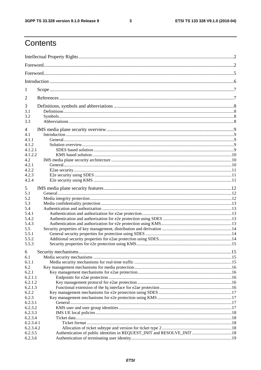$\mathbf{3}$ 

## Contents

| 1                |  |  |  |  |
|------------------|--|--|--|--|
| 2                |  |  |  |  |
| 3                |  |  |  |  |
| 3.1              |  |  |  |  |
| 3.2              |  |  |  |  |
| 3.3              |  |  |  |  |
| 4                |  |  |  |  |
| 4.1              |  |  |  |  |
| 4.1.1            |  |  |  |  |
| 4.1.2            |  |  |  |  |
| 4.1.2.1          |  |  |  |  |
| 4.1.2.2          |  |  |  |  |
| 4.2              |  |  |  |  |
| 4.2.1            |  |  |  |  |
| 4.2.2            |  |  |  |  |
| 4.2.3            |  |  |  |  |
| 4.2.4            |  |  |  |  |
|                  |  |  |  |  |
| 5                |  |  |  |  |
| 5.1              |  |  |  |  |
| 5.2              |  |  |  |  |
| 5.3              |  |  |  |  |
| 5.4              |  |  |  |  |
| 5.4.1            |  |  |  |  |
| 5.4.2            |  |  |  |  |
| 5.4.3            |  |  |  |  |
| 5.5              |  |  |  |  |
| 5.5.1            |  |  |  |  |
| 5.5.2            |  |  |  |  |
| 5.5.3            |  |  |  |  |
| 6                |  |  |  |  |
| 6.1              |  |  |  |  |
| 6.1.1            |  |  |  |  |
| 6.2              |  |  |  |  |
| 6.2.1            |  |  |  |  |
| 6.2.1.1          |  |  |  |  |
| 6.2.1.2          |  |  |  |  |
| 6.2.1.3          |  |  |  |  |
|                  |  |  |  |  |
| 6.2.2            |  |  |  |  |
| 6.2.3<br>6.2.3.1 |  |  |  |  |
|                  |  |  |  |  |
| 6.2.3.2          |  |  |  |  |
| 6.2.3.3          |  |  |  |  |
| 6.2.3.4          |  |  |  |  |
| 6.2.3.4.1        |  |  |  |  |
| 6.2.3.4.2        |  |  |  |  |
| 6.2.3.5          |  |  |  |  |
| 6.2.3.6          |  |  |  |  |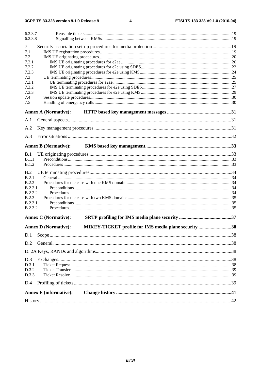$\overline{\mathbf{4}}$ 

| 6.2.3.7<br>6.2.3.8      |                               |                                                      |  |  |  |
|-------------------------|-------------------------------|------------------------------------------------------|--|--|--|
|                         |                               |                                                      |  |  |  |
| 7                       |                               |                                                      |  |  |  |
| 7.1<br>7.2              |                               |                                                      |  |  |  |
| 7.2.1                   |                               |                                                      |  |  |  |
| 7.2.2                   |                               |                                                      |  |  |  |
| 7.2.3                   |                               |                                                      |  |  |  |
| 7.3                     |                               |                                                      |  |  |  |
| 7.3.1                   |                               |                                                      |  |  |  |
| 7.3.2                   |                               |                                                      |  |  |  |
| 7.3.3                   |                               |                                                      |  |  |  |
| 7.4                     |                               |                                                      |  |  |  |
| 7.5                     |                               |                                                      |  |  |  |
|                         | <b>Annex A (Normative):</b>   |                                                      |  |  |  |
| A.1                     |                               |                                                      |  |  |  |
| A.2                     |                               |                                                      |  |  |  |
| A.3                     |                               |                                                      |  |  |  |
|                         |                               |                                                      |  |  |  |
|                         | <b>Annex B (Normative):</b>   |                                                      |  |  |  |
| B.1                     |                               |                                                      |  |  |  |
| B.1.1                   |                               |                                                      |  |  |  |
| <b>B.1.2</b>            |                               |                                                      |  |  |  |
| B.2                     |                               |                                                      |  |  |  |
| B.2.1                   |                               |                                                      |  |  |  |
| <b>B.2.2</b>            |                               |                                                      |  |  |  |
| B.2.2.1                 |                               |                                                      |  |  |  |
| B.2.2.2                 |                               |                                                      |  |  |  |
| B.2.3<br><b>B.2.3.1</b> |                               |                                                      |  |  |  |
| B.2.3.2                 |                               |                                                      |  |  |  |
|                         |                               |                                                      |  |  |  |
|                         | <b>Annex C (Normative):</b>   |                                                      |  |  |  |
|                         | <b>Annex D (Normative):</b>   | MIKEY-TICKET profile for IMS media plane security 38 |  |  |  |
| D.1                     |                               |                                                      |  |  |  |
| D.2                     |                               |                                                      |  |  |  |
|                         |                               |                                                      |  |  |  |
| D.3                     |                               |                                                      |  |  |  |
| D.3.1                   |                               |                                                      |  |  |  |
| D.3.2                   |                               |                                                      |  |  |  |
| D.3.3                   |                               |                                                      |  |  |  |
| D.4                     |                               |                                                      |  |  |  |
|                         | <b>Annex E</b> (informative): |                                                      |  |  |  |
|                         |                               |                                                      |  |  |  |
|                         |                               |                                                      |  |  |  |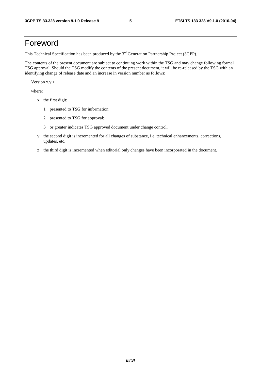## Foreword

This Technical Specification has been produced by the 3<sup>rd</sup> Generation Partnership Project (3GPP).

The contents of the present document are subject to continuing work within the TSG and may change following formal TSG approval. Should the TSG modify the contents of the present document, it will be re-released by the TSG with an identifying change of release date and an increase in version number as follows:

Version x.y.z

where:

- x the first digit:
	- 1 presented to TSG for information;
	- 2 presented to TSG for approval;
	- 3 or greater indicates TSG approved document under change control.
- y the second digit is incremented for all changes of substance, i.e. technical enhancements, corrections, updates, etc.
- z the third digit is incremented when editorial only changes have been incorporated in the document.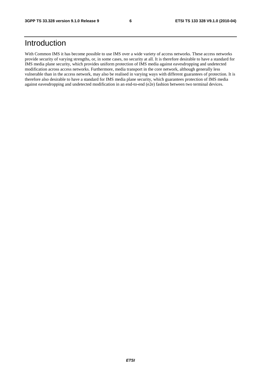## Introduction

With Common IMS it has become possible to use IMS over a wide variety of access networks. These access networks provide security of varying strengths, or, in some cases, no security at all. It is therefore desirable to have a standard for IMS media plane security, which provides uniform protection of IMS media against eavesdropping and undetected modification across access networks. Furthermore, media transport in the core network, although generally less vulnerable than in the access network, may also be realised in varying ways with different guarantees of protection. It is therefore also desirable to have a standard for IMS media plane security, which guarantees protection of IMS media against eavesdropping and undetected modification in an end-to-end (e2e) fashion between two terminal devices.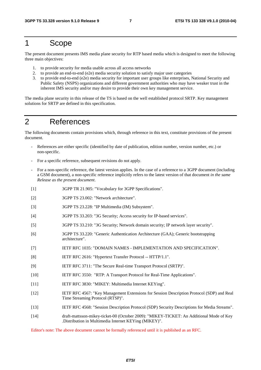## 1 Scope

The present document presents IMS media plane security for RTP based media which is designed to meet the following three main objectives:

- 1. to provide security for media usable across all access networks
- 2. to provide an end-to-end (e2e) media security solution to satisfy major user categories
- 3. to provide end-to-end (e2e) media security for important user groups like enterprises, National Security and Public Safety (NSPS) organizations and different government authorities who may have weaker trust in the inherent IMS security and/or may desire to provide their own key management service.

The media plane security in this release of the TS is based on the well established protocol SRTP. Key management solutions for SRTP are defined in this specification.

## 2 References

The following documents contain provisions which, through reference in this text, constitute provisions of the present document.

- References are either specific (identified by date of publication, edition number, version number, etc.) or non-specific.
- For a specific reference, subsequent revisions do not apply.
- For a non-specific reference, the latest version applies. In the case of a reference to a 3GPP document (including a GSM document), a non-specific reference implicitly refers to the latest version of that document *in the same Release as the present document*.
- [1] 3GPP TR 21.905: "Vocabulary for 3GPP Specifications".
- [2] 3GPP TS 23.002: "Network architecture".
- [3] 3GPP TS 23.228: "IP Multimedia (IM) Subsystem".
- [4] 3GPP TS 33.203: "3G Security; Access security for IP-based services".
- [5] 3GPP TS 33.210: "3G Security; Network domain security; IP network layer security".
- [6] 3GPP TS 33.220: "Generic Authentication Architecture (GAA); Generic bootstrapping architecture".
- [7] IETF RFC 1035: "DOMAIN NAMES IMPLEMENTATION AND SPECIFICATION".
- [8] IETF RFC 2616: "Hypertext Transfer Protocol -- HTTP/1.1".
- [9] IETF RFC 3711: "The Secure Real-time Transport Protocol (SRTP)".
- [10] IETF RFC 3550: "RTP: A Transport Protocol for Real-Time Applications".
- [11] IETF RFC 3830: "MIKEY: Multimedia Internet KEYing".
- [12] IETF RFC 4567: "Key Management Extensions for Session Description Protocol (SDP) and Real Time Streaming Protocol (RTSP)".
- [13] IETF RFC 4568: "Session Description Protocol (SDP) Security Descriptions for Media Streams".
- [14] draft-mattsson-mikey-ticket-00 (October 2009): "MIKEY-TICKET: An Additional Mode of Key .Distribution in Multimedia Internet KEYing (MIKEY)".

Editor's note: The above document cannot be formally referenced until it is published as an RFC.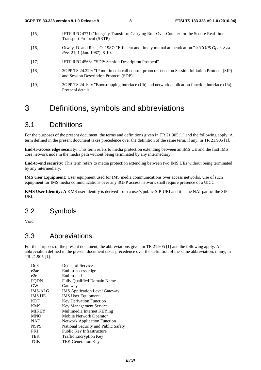- [15] IETF RFC 4771: "Integrity Transform Carrying Roll-Over Counter for the Secure Real-time Transport Protocol (SRTP)".
- [16] Otway, D. and Rees, O. 1987: "Efficient and timely mutual authentication." *SIGOPS Oper. Syst. Rev.* 21, 1 (Jan. 1987), 8-10.
- [17] IETF RFC 4566: "SDP: Session Description Protocol".
- [18] 3GPP TS 24.229: "IP multimedia call control protocol based on Session Initiation Protocol (SIP) and Session Description Protocol (SDP)".
- [19] 3GPP TS 24.109: "Bootstrapping interface (Ub) and network application function interface (Ua); Protocol details".

## 3 Definitions, symbols and abbreviations

## 3.1 Definitions

For the purposes of the present document, the terms and definitions given in TR 21.905 [1] and the following apply. A term defined in the present document takes precedence over the definition of the same term, if any, in TR 21.905 [1].

**End-to-access edge security:** This term refers to media protection extending between an IMS UE and the first IMS core network node in the media path without being terminated by any intermediary.

**End-to-end security:** This term refers to media protection extending between two IMS UEs without being terminated by any intermediary.

**IMS User Equipment:** User equipment used for IMS media communications over access networks. Use of such equipment for IMS media communications over any 3GPP access network shall require presence of a UICC.

**KMS User Identity: A** KMS user identity is derived from a user's public SIP-URI and it is the NAI-part of the SIP URI.

### 3.2 Symbols

Void

### 3.3 Abbreviations

For the purposes of the present document, the abbreviations given in TR 21.905 [1] and the following apply. An abbreviation defined in the present document takes precedence over the definition of the same abbreviation, if any, in TR 21.905 [1].

| DoS            | Denial of Service                    |
|----------------|--------------------------------------|
| e2ae           | End-to-access edge                   |
| e2e            | End-to-end                           |
| FQDN           | <b>Fully Qualified Domain Name</b>   |
| <b>GW</b>      | Gateway                              |
| <b>IMS-ALG</b> | <b>IMS</b> Application Level Gateway |
| <b>IMS UE</b>  | <b>IMS</b> User Equipment            |
| <b>KDF</b>     | <b>Key Derivation Function</b>       |
| <b>KMS</b>     | Key Management Service               |
| <b>MIKEY</b>   | Multimedia Internet KEYing           |
| <b>MNO</b>     | Mobile Network Operator              |
| NAF            | <b>Network Application Function</b>  |
| <b>NSPS</b>    | National Security and Public Safety  |
| <b>PKI</b>     | Public Key Infrastructure            |
| <b>TEK</b>     | Traffic Encryption Key               |
| TGK            | <b>TEK Generation Key</b>            |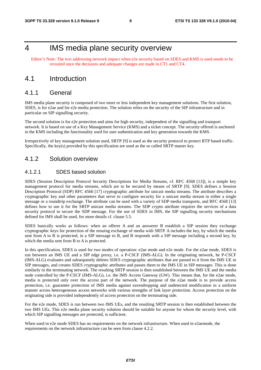## 4 IMS media plane security overview

Editor's Note: The text addressing network impact when e2e security based on SDES and KMS is used needs to be revisited once the decisions and adequate changes are made in CT1 and CT4.

## 4.1 Introduction

### 4.1.1 General

IMS media plane security is composed of two more or less independent key management solutions. The first solution, SDES, is for e2ae and for e2e media protection. The solution relies on the security of the SIP infrastructure and in particular on SIP signalling security.

The second solution is for e2e protection and aims for high security, independent of the signalling and transport network. It is based on use of a Key Management Service (KMS) and a ticket concept. The security offered is anchored in the KMS including the functionality used for user authentication and key generation towards the KMS.

Irrespectively of key management solution used, SRTP [9] is used as the security protocol to protect RTP based traffic. Specifically, the key(s) provided by this specification are used as the so called SRTP master key.

### 4.1.2 Solution overview

#### 4.1.2.1 SDES based solution

SDES (Session Description Protocol Security Descriptions for Media Streams, cf. RFC 4568 [13]), is a simple key management protocol for media streams, which are to be secured by means of SRTP [9]. SDES defines a Session Description Protocol (SDP) RFC 4566 [17] cryptographic attribute for unicast media streams. The attribute describes a cryptographic key and other parameters that serve to configure security for a unicast media stream in either a single message or a roundtrip exchange. The attribute can be used with a variety of SDP media transports, and RFC 4568 [13] defines how to use it for the SRTP unicast media streams. The SDP crypto attribute requires the services of a data security protocol to secure the SDP message. For the use of SDES in IMS, the SIP signalling security mechanisms defined for IMS shall be used, for more details cf. clause 5.5.

SDES basically works as follows: when an offerer A and an answerer B establish a SIP session they exchange cryptographic keys for protection of the ensuing exchange of media with SRTP. A includes the key, by which the media sent from A to B is protected, in a SIP message to B, and B responds with a SIP message including a second key, by which the media sent from B to A is protected.

In this specification, SDES is used for two modes of operation: e2ae mode and e2e mode. For the e2ae mode, SDES is run between an IMS UE and a SIP edge proxy, i.e. a P-CSCF (IMS-ALG). In the originating network, he P-CSCF (IMS-ALG) evaluates and subsequently deletes SDES cryptographic attributes that are passed to it from the IMS UE in SIP messages, and creates SDES cryptographic attributes and passes them to the IMS UE in SIP messages. This is done similarly in the terminating network. The resulting SRTP session is then established between the IMS UE and the media node controlled by the P-CSCF (IMS-ALG), i.e. the IMS Access Gateway (GW). This means that, for the e2ae mode, media is protected only over the access part of the network. The purpose of the e2ae mode is to provide access protection, i.e. guarantee protection of IMS media against eavesdropping and undetected modification in a uniform manner across heterogeneous access networks with various strengths of link layer protection. Access protection on the originating side is provided independently of access protection on the terminating side.

For the e2e mode, SDES is run between two IMS UEs, and the resulting SRTP session is then established between the two IMS UEs. This e2e media plane security solution should be suitable for anyone for whom the security level, with which SIP signalling messages are protected, is sufficient.

When used in e2e mode SDES has no requirements on the network infrastructure. When used in e2aemode, the requirements on the network infrastructure can be seen from clause 4.2.2.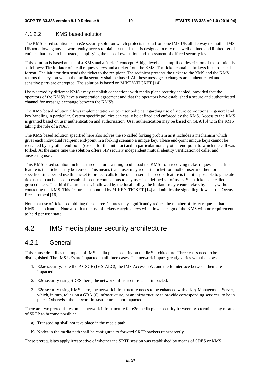#### 4.1.2.2 KMS based solution

The KMS based solution is an e2e security solution which protects media from one IMS UE all the way to another IMS UE not allowing any network entity access to plaintext media. It is designed to rely on a well defined and limited set of entities that have to be trusted, simplifying the task of evaluation and assessment of offered security level.

This solution is based on use of a KMS and a "ticket" concept. A high level and simplified description of the solution is as follows: The initiator of a call requests keys and a ticket from the KMS. The ticket contains the keys in a protected format. The initiator then sends the ticket to the recipient. The recipient presents the ticket to the KMS and the KMS returns the keys on which the media security shall be based. All these message exchanges are authenticated and sensitive parts are encrypted. The solution is based on MIKEY-TICKET [14].

Users served by different KMS's may establish connections with media plane security enabled, provided that the operators of the KMS's have a cooperation agreement and that the operators have established a secure and authenticated channel for message exchange between the KMS's.

The KMS based solution allows implementation of per user policies regarding use of secure connections in general and key handling in particular. System specific policies can easily be defined and enforced by the KMS. Access to the KMS is granted based on user authentication and authorization. User authentication may be based on GBA [6] with the KMS taking the role of a NAF.

The KMS based solution specified here also solves the so called forking problem as it includes a mechanism which gives each individual recipient end-point in a forking scenario a unique key. These end-point unique keys cannot be recreated by any other end-point (except for the initiator) and in particular not any other end-point to which the call was forked. At the same time the solution offers SIP security independent mutual identity verification of caller and answering user.

This KMS based solution includes three features aiming to off-load the KMS from receiving ticket requests. The first feature is that tickets may be reused. This means that a user may request a ticket for another user and then for a specified time period use this ticket to protect calls to the other user. The second feature is that it is possible to generate tickets that can be used to establish secure connections to any user in a defined set of users. Such tickets are called group tickets. The third feature is that, if allowed by the local policy, the initiator may create tickets by itself, without contacting the KMS. This feature is supported by MIKEY-TICKET [14] and mimics the signalling flows of the Otway-Rees protocol [16].

Note that use of tickets combining these three features may significantly reduce the number of ticket requests that the KMS has to handle. Note also that the use of tickets carrying keys will allow a design of the KMS with no requirements to hold per user state.

### 4.2 IMS media plane security architecture

### 4.2.1 General

This clause describes the impact of IMS media plane security on the IMS architecture. Three cases need to be distinguished. The IMS UEs are impacted in all three cases. The network impact greatly varies with the cases.

- 1. E2ae security: here the P-CSCF (IMS-ALG), the IMS Access GW, and the Iq interface between them are impacted.
- 2. E2e security using SDES: here, the network infrastructure is not impacted.
- 3. E2e security using KMS: here, the network infrastructure needs to be enhanced with a Key Management Server, which, in turn, relies on a GBA [6] infrastructure, or an infrastructure to provide corresponding services, to be in place. Otherwise, the network infrastructure is not impacted.

There are two prerequisites on the network infrastructure for e2e media plane security between two terminals by means of SRTP to become possible:

- a) Transcoding shall not take place in the media path;
- b) Nodes in the media path shall be configured to forward SRTP packets transparently.

These prerequisites apply irrespective of whether the SRTP session was established by means of SDES or KMS.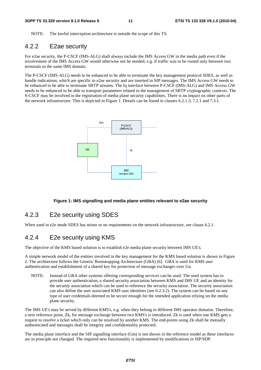NOTE: The lawful interception architecture is outside the scope of this TS.

### 4.2.2 E2ae security

For e2ae security, the P-CSCF (IMS-ALG) shall always include the IMS Access GW in the media path even if the involvement of the IMS Access GW would otherwise not be needed, e.g. if traffic was to be routed only between two terminals in the same IMS domain.

The P-CSCF (IMS-ALG) needs to be enhanced to be able to terminate the key management protocol SDES, as well as handle indications, which are specific to e2ae security and are inserted in SIP messages. The IMS Access GW needs to be enhanced to be able to terminate SRTP streams. The Iq interface between P-CSCF (IMS-ALG) and IMS Access GW needs to be enhanced to be able to transport parameters related to the management of SRTP cryptographic contexts. The S-CSCF may be involved in the registration of media plane security capabilities. There is no impact on other parts of the network infrastructure. This is depicted in Figure 1. Details can be found in clauses 6.2.1.3, 7.2.1 and 7.3.1.



#### **Figure 1: IMS signalling and media plane entities relevant to e2ae security**

### 4.2.3 E2e security using SDES

When used in e2e mode SDES has minor or no requirements on the network infrastructure, see clause 4.2.1.

### 4.2.4 E2e security using KMS

The objective of the KMS based solution is to establish e2e media plane security between IMS UE's.

A simple network model of the entities involved in the key management for the KMS based solution is shown in Figure 2. The architecture follows the Generic Bootstrapping Architecture (GBA) [6]. GBA is used for KMS user authentication and establishment of a shared key for protection of message exchanges over Ua.

NOTE: Instead of GBA other systems offering corresponding services can be used. The used system has to provide user authentication, a shared security association between KMS and IMS UE and an identity for the security association which can be used to reference the security association. The security association can also define the user associated KMS user identities (see 6.2.3.2). The system can be based on any type of user credentials deemed to be secure enough for the intended application relying on the media plane security.

The IMS UE's may be served by different KMS's, e.g. when they belong to different IMS operator domains. Therefore, a new reference point, Zk, for message exchange between two KMS's is introduced. Zk is used when one KMS gets a request to resolve a ticket which only can be resolved by another KMS. The end-points using Zk shall be mutually authenticated and messages shall be integrity and confidentiality protected.

The media plane interface and the SIP signalling interface (Gm) is not shown in the reference model as these interfaces are in principle not changed. The required new functionality is implemented by modifications in SIP/SDP.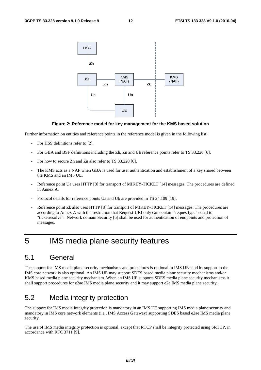

#### **Figure 2: Reference model for key management for the KMS based solution**

Further information on entities and reference points in the reference model is given in the following list:

- For HSS definitions refer to [2].
- For GBA and BSF definitions including the Zh, Zn and Ub reference points refer to TS 33.220 [6].
- For how to secure Zh and Zn also refer to TS 33.220 [6].
- The KMS acts as a NAF when GBA is used for user authentication and establishment of a key shared between the KMS and an IMS UE.
- Reference point Ua uses HTTP [8] for transport of MIKEY-TICKET [14] messages. The procedures are defined in Annex A.
- Protocol details for reference points Ua and Ub are provided in TS 24.109 [19].
- Reference point Zk also uses HTTP [8] for transport of MIKEY-TICKET [14] messages. The procedures are according to Annex A with the restriction that Request-URI only can contain "requesttype" equal to "ticketresolve". Network domain Security [5] shall be used for authentication of endpoints and protection of messages.

## 5 IMS media plane security features

### 5.1 General

The support for IMS media plane security mechanisms and procedures is optional in IMS UEs and its support in the IMS core network is also optional. An IMS UE may support SDES based media plane security mechanisms and/or KMS based media plane security mechanism. When an IMS UE supports SDES media plane security mechanisms it shall support procedures for e2ae IMS media plane security and it may support e2e IMS media plane security.

### 5.2 Media integrity protection

The support for IMS media integrity protection is mandatory in an IMS UE supporting IMS media plane security and mandatory in IMS core network elements (i.e., IMS Access Gateway) supporting SDES based e2ae IMS media plane security.

The use of IMS media integrity protection is optional, except that RTCP shall be integrity protected using SRTCP, in accordance with RFC 3711 [9].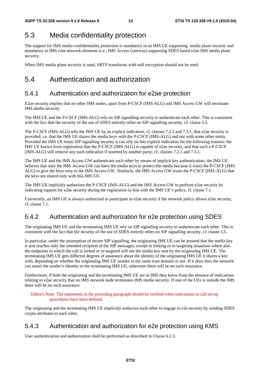## 5.3 Media confidentiality protection

The support for IMS media confidentiality protection is mandatory in an IMS UE supporting media plane security and mandatory in IMS core network elements (i.e., IMS Access Gateway) supporting SDES based e2ae IMS media plane security.

When IMS media plane security is used, SRTP transforms with null encryption should not be used.

## 5.4 Authentication and authorization

## 5.4.1 Authentication and authorization for e2ae protection

E2ae security implies that no other IMS nodes, apart from P-CSCF (IMS-ALG) and IMS Access GW will terminate IMS media security.

The IMS UE and the P-CSCF (IMS-ALG) rely on SIP signalling security to authenticate each other. This is consistent with the fact that the security of the use of SDES entirely relies on SIP signalling security, cf. clause 5.5.

The P-CSCF (IMS-ALG) tells the IMS UE by an explicit indication, cf. clauses 7.2.1 and 7.3.1, that e2ae security is provided, i.e. that the IMS UE shares the media keys with the P-CSCF (IMS-ALG) and not with some other entity. Provided the IMS UE trusts SIP signalling security it can rely on this explicit indication for the following reasons: the IMS UE knows from registration that the P-CSCF (IMS-ALG) is capable of e2ae security, and that such a P-CSCF (IMS-ALG) will remove any such indication if inserted by another party, cf. clauses 7.2.1 and 7.3.1.

The IMS UE and the IMS Access GW authenticate each other by means of implicit key authentication: the IMS UE believes that only the IMS Access GW can have the media keys to protect the media because it trusts the P-CSCF (IMS-ALG) to give the keys only to the IMS Access GW. Similarly, the IMS Access GW trusts the P-CSCF (IMS-ALG) that the keys are shared only with this IMS UE.

The IMS UE implicitly authorizes the P-CSCF (IMS-ALG) and the IMS Access GW to perform e2ae security by indicating support for e2ae security during the registration in line with the IMS UE's policy, cf. clause 7.1.

Conversely, an IMS UE is always authorized to participate in e2ae security if the network policy allows e2ae security, cf. clause 7.1.

## 5.4.2 Authentication and authorization for e2e protection using SDES

The originating IMS UE and the terminating IMS UE rely on SIP signalling security to authenticate each other. This is consistent with the fact that the security of the use of SDES entirely relies on SIP signalling security, cf. clause 5.5.

In particular, under the assumption of secure SIP signalling, the originating IMS UE can be assured that the media key it sent reaches only the intended recipient of the SIP messages, except in forking or re-targeting situations where also the endpoints to which the call is forked or re-targeted will see the media key sent by the originating IMS UE. The terminating IMS UE gets different degrees of assurance about the identity of the originating IMS UE it shares a key with, depending on whether the originating IMS UE resides in the same trust domain or not. If it does then the network can assert the sender's identity to the terminating IMS UE, otherwise there will be no such assurance.

Furthermore, if both the originating and the terminating IMS UE are in IMS they know from the absence of indications relating to e2ae security that no IMS network node terminates IMS media security. If one of the UEs is outside the IMS there will be no such assurance.

Editor's Note: The statements in the preceding paragraph should be verified when indications in call set-up procedures have been defined.

The originating and the terminating IMS UE implicitly authorize each other to engage in e2e security by sending SDES crypto attributes to each other.

## 5.4.3 Authentication and authorization for e2e protection using KMS

User authentication and authorization shall be performed as described in Clause 6.2.3.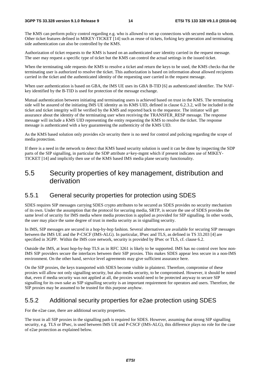The KMS can perform policy control regarding e.g. who is allowed to set up connections with secured media to whom. Other ticket features defined in MIKEY-TICKET [14] such as reuse of tickets, forking key generation and terminating side authentication can also be controlled by the KMS.

Authorization of ticket requests to the KMS is based on an authenticated user identity carried in the request message. The user may request a specific type of ticket but the KMS can control the actual settings in the issued ticket.

When the terminating side requests the KMS to resolve a ticket and return the keys to be used, the KMS checks that the terminating user is authorized to resolve the ticket. This authorization is based on information about allowed recipients carried in the ticket and the authenticated identity of the requesting user carried in the request message.

When user authentication is based on GBA, the IMS UE uses its GBA B-TID [6] as authenticated identifier. The NAFkey identified by the B-TID is used for protection of the message exchange.

Mutual authentication between initiating and terminating users is achieved based on trust in the KMS. The terminating side will be assured of the initiating IMS UE identity as its KMS UID, defined in clause 6.2.3.2, will be included in the ticket and ticket integrity will be verified by the KMS and reported back to the requestor. The initiator will get assurance about the identity of the terminating user when receiving the TRANSFER\_RESP message. The response message will include a KMS UID representing the entity requesting the KMS to resolve the ticket. The response message is authenticated with a key guaranteeing the authenticity of the KMS UID.

As the KMS based solution only provides e2e security there is no need for control and policing regarding the scope of media protection.

If there is a need in the network to detect that KMS based security solution is used it can be done by inspecting the SDP parts of the SIP signalling, in particular the SDP attribute a=key-mgmt which if present indicates use of MIKEY-TICKET [14] and implicitly then use of the KMS based IMS media plane security functionality.

## 5.5 Security properties of key management, distribution and derivation

### 5.5.1 General security properties for protection using SDES

SDES requires SIP messages carrying SDES crypto attributes to be secured as SDES provides no security mechanism of its own. Under the assumption that the protocol for securing media, SRTP, is secure the use of SDES provides the same level of security for IMS media where media protection is applied as provided for SIP signalling. In other words, the user may place the same degree of trust in media security as in signalling security.

In IMS, SIP messages are secured in a hop-by-hop fashion. Several alternatives are available for securing SIP messages between the IMS UE and the P-CSCF (IMS-ALG). In particular, IPsec and TLS, as defined in TS 33.203 [4] are specified in 3GPP. Within the IMS core network, security is provided by IPsec or TLS, cf. clause 6.2.

Outside the IMS, at least hop-by-hop TLS as in RFC 3261 is likely to be supported. IMS has no control over how non-IMS SIP providers secure the interfaces between their SIP proxies. This makes SDES appear less secure in a non-IMS environment. On the other hand, service level agreements may give sufficient assurance here.

On the SIP proxies, the keys transported with SDES become visible in plaintext. Therefore, compromise of these proxies will allow not only signalling security, but also media security, to be compromised. However, it should be noted that, even if media security was not applied at all, the proxies would need to be protected anyway to secure SIP signalling for its own sake as SIP signalling security is an important requirement for operators and users. Therefore, the SIP proxies may be assumed to be trusted for this purpose anyhow.

### 5.5.2 Additional security properties for e2ae protection using SDES

For the e2ae case, there are additional security properties.

The trust in all SIP proxies in the signalling path is required for SDES. However, assuming that strong SIP signalling security, e.g. TLS or IPsec, is used between IMS UE and P-CSCF (IMS-ALG), this difference plays no role for the case of e2ae protection as explained below.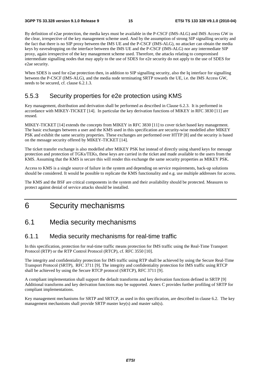By definition of e2ae protection, the media keys must be available in the P-CSCF (IMS-ALG) and IMS Access GW in the clear, irrespective of the key management scheme used. And by the assumption of strong SIP signalling security and the fact that there is no SIP proxy between the IMS UE and the P-CSCF (IMS-ALG), no attacker can obtain the media keys by eavesdropping on the interface between the IMS UE and the P-CSCF (IMS-ALG) nor any intermediate SIP proxy, again irrespective of the key management scheme used. Therefore, the attacks relating to compromised intermediate signalling nodes that may apply to the use of SDES for e2e security do not apply to the use of SDES for e2ae security.

When SDES is used for e2ae protection then, in addition to SIP signalling security, also the Iq interface for signalling between the P-CSCF (IMS-ALG), and the media node terminating SRTP towards the UE, i.e. the IMS Access GW, needs to be secured, cf. clause 6.2.1.3.

### 5.5.3 Security properties for e2e protection using KMS

Key management, distribution and derivation shall be performed as described in Clause 6.2.3. It is performed in accordance with MIKEY-TICKET [14]. In particular the key derivation functions of MIKEY in RFC 3830 [11] are reused.

MIKEY-TICKET [14] extends the concepts from MIKEY in RFC 3830 [11] to cover ticket based key management. The basic exchanges between a user and the KMS used in this specification are security-wise modelled after MIKEY PSK and exhibit the same security properties. These exchanges are performed over HTTP [8] and the security is based on the message security offered by MIKEY-TICKET [14].

The ticket transfer exchange is also modelled after MIKEY PSK but instead of directly using shared keys for message protection and protection of TGKs/TEKs, these keys are carried in the ticket and made available to the users from the KMS. Assuming that the KMS is secure this will render this exchange the same security properties as MIKEY PSK.

Access to KMS is a single source of failure in the system and depending on service requirements, back-up solutions should be considered. It would be possible to replicate the KMS functionality and e.g. use multiple addresses for access.

The KMS and the BSF are critical components in the system and their availability should be protected. Measures to protect against denial of service attacks should be installed.

## 6 Security mechanisms

## 6.1 Media security mechanisms

### 6.1.1 Media security mechanisms for real-time traffic

In this specification, protection for real-time traffic means protection for IMS traffic using the Real-Time Transport Protocol (RTP) or the RTP Control Protocol (RTCP), cf. RFC 3550 [10].

The integrity and confidentiality protection for IMS traffic using RTP shall be achieved by using the Secure Real-Time Transport Protocol (SRTP), RFC 3711 [9]. The integrity and confidentiality protection for IMS traffic using RTCP shall be achieved by using the Secure RTCP protocol (SRTCP), RFC 3711 [9].

A compliant implementation shall support the default transforms and key derivation functions defined in SRTP [9] Additional transforms and key derivation functions may be supported. Annex C provides further profiling of SRTP for compliant implementations.

Key management mechanisms for SRTP and SRTCP, as used in this specification, are described in clause 6.2. The key management mechanisms shall provide SRTP master key(s) and master salt(s).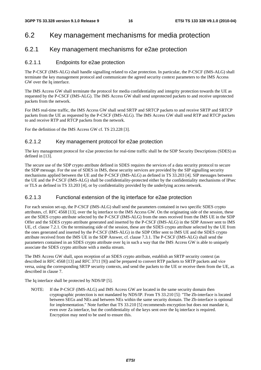## 6.2 Key management mechanisms for media protection

### 6.2.1 Key management mechanisms for e2ae protection

#### 6.2.1.1 Endpoints for e2ae protection

The P-CSCF (IMS-ALG) shall handle signalling related to e2ae protection. In particular, the P-CSCF (IMS-ALG) shall terminate the key management protocol and communicate the agreed security context parameters to the IMS Access GW over the Iq interface.

The IMS Access GW shall terminate the protocol for media confidentiality and integrity protection towards the UE as requested by the P-CSCF (IMS-ALG). The IMS Access GW shall send unprotected packets to and receive unprotected packets from the network.

For IMS real-time traffic, the IMS Access GW shall send SRTP and SRTCP packets to and receive SRTP and SRTCP packets from the UE as requested by the P-CSCF (IMS-ALG). The IMS Access GW shall send RTP and RTCP packets to and receive RTP and RTCP packets from the network.

For the definition of the IMS Access GW cf. TS 23.228 [3].

#### 6.2.1.2 Key management protocol for e2ae protection

The key management protocol for e2ae protection for real-time traffic shall be the SDP Security Descriptions (SDES) as defined in [13].

The secure use of the SDP crypto attribute defined in SDES requires the services of a data security protocol to secure the SDP message. For the use of SDES in IMS, these security services are provided by the SIP signalling security mechanisms applied between the UE and the P-CSCF (IMS-ALG) as defined in TS 33.203 [4]. SIP messages between the UE and the P-CSCF (IMS-ALG) shall be confidentiality-protected either by the confidentiality mechanisms of IPsec or TLS as defined in TS 33.203 [4], or by confidentiality provided by the underlying access network.

### 6.2.1.3 Functional extension of the Iq interface for e2ae protection

For each session set-up, the P-CSCF (IMS-ALG) shall send the parameters contained in two specific SDES crypto attributes, cf. RFC 4568 [13], over the Iq interface to the IMS Access GW. On the originating side of the session, these are the SDES crypto attribute selected by the P-CSCF (IMS-ALG) from the ones received from the IMS UE in the SDP Offer and the SDES crypto attribute generated and inserted by the P-CSCF (IMS-ALG) in the SDP Answer sent to IMS UE, cf. clause 7.2.1. On the terminating side of the session, these are the SDES crypto attribute selected by the UE from the ones generated and inserted by the P-CSCF (IMS-ALG) in the SDP Offer sent to IMS UE and the SDES crypto attribute received from the IMS UE in the SDP Answer, cf. clause 7.3.1. The P-CSCF (IMS-ALG) shall send the parameters contained in an SDES crypto attribute over Iq in such a way that the IMS Access GW is able to uniquely associate the SDES crypto attribute with a media stream.

The IMS Access GW shall, upon reception of an SDES crypto attribute, establish an SRTP security context (as described in RFC 4568 [13] and RFC 3711 [9]) and be prepared to convert RTP packets to SRTP packets and vice versa, using the corresponding SRTP security contexts, and send the packets to the UE or receive them from the UE, as described in clause 7.

The Iq interface shall be protected by NDS/IP [5].

NOTE: If the P-CSCF (IMS-ALG) and IMS Access GW are located in the same security domain then cryptographic protection is not mandated by NDS/IP. From TS 33.210 [5]: "The Zb-interface is located between SEGs and NEs and between NEs within the same security domain. The Zb-interface is optional for implementation." Note further that TS 33.210 [5] recommends encryption but does not mandate it, even over Za interface, but the confidentiality of the keys sent over the Iq interface is required. Encryption may need to be used to ensure this.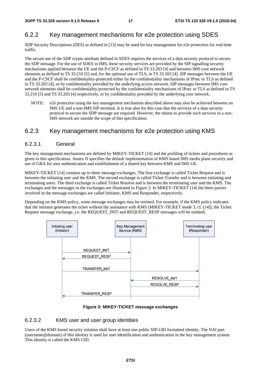### 6.2.2 Key management mechanisms for e2e protection using SDES

SDP Security Descriptions (DES) as defined in [13] may be used for key management for e2e protection for real-time traffic.

The secure use of the SDP crypto attribute defined in SDES requires the services of a data security protocol to secure the SDP message. For the use of SDES in IMS, these security services are provided by the SIP signalling security mechanisms applied between the UE and the P-CSCF as defined in TS 33.203 [4] and between IMS core network elements as defined in TS 33.210 [5] and, for the optional use of TLS, in TS 33.203 [4]. SIP messages between the UE and the P-CSCF shall be confidentiality-protected either by the confidentiality mechanisms of IPsec or TLS as defined in TS 33.203 [4], or by confidentiality provided by the underlying access network. SIP messages between IMS core network elements shall be confidentiality-protected by the confidentiality mechanisms of IPsec or TLS as defined in TS 33.210 [5] and TS 33.203 [4] respectively, or by confidentiality provided by the underlying core network.

NOTE: e2e protection using the key management mechanism described above may also be achieved between an IMS UE and a non-IMS SIP terminal. It is true also for this case that the services of a data security protocol to secure the SDP message are required. However, the means to provide such services in a non-IMS network are outside the scope of this specification.

### 6.2.3 Key management mechanisms for e2e protection using KMS

#### 6.2.3.1 General

The key management mechanisms are defined by MIKEY-TICKET [14] and the profiling of tickets and procedures as given in this specification. Annex D specifies the default implementation of KMS based IMS media plane security and use of GBA for user authentication and establishment of a shared key between KMS and IMS UE.

MIKEY-TICKET [14] contains up to three message exchanges. The first exchange is called Ticket Request and is between the initiating user and the KMS. The second exchange is called Ticket Transfer and is between initiating and terminating users. The third exchange is called Ticket Resolve and is between the terminating user and the KMS. The exchanges and the messages in the exchanges are illustrated in Figure 3. In MIKEY-TICKET [14] the three parties involved in the message exchanges are called Initiator, KMS and Responder, respectively.

Depending on the KMS policy, some message exchanges may be omitted. For example, if the KMS policy indicates that the initiator generates the ticket without the assistance with KMS (MIKEY-TICKET mode 3, cf. [14]), the Ticket Request message exchange, i.e. the REQUEST\_INIT and REQUEST\_RESP messages will be omitted.



#### **Figure 3: MIKEY-TICKET message exchanges**

#### 6.2.3.2 KMS user and user group identities

Users of the KMS based security solution shall have at least one public SIP-URI formatted identity. The NAI part (username@domain) of this identity is used for user identification and authentication in the key management system. This identity is called the KMS UID.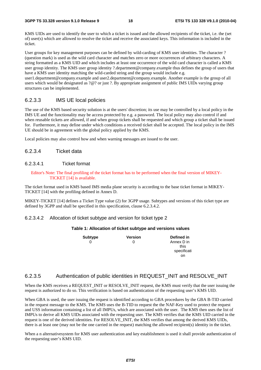KMS UIDs are used to identify the user to which a ticket is issued and the allowed recipients of the ticket, i.e. the (set of) user(s) which are allowed to resolve the ticket and receive the associated keys. This information is included in the ticket.

User groups for key management purposes can be defined by wild-carding of KMS user identities. The character ? (question mark) is used as the wild card character and matches zero or more occurrences of arbitrary characters. A string formatted as a KMS UID and which includes at least one occurrence of the wild card character is called a KMS user group identity. The KMS user group identity ?.department@company.example thus defines the group of users that have a KMS user identity matching the wild-carded string and the group would include e.g. user1.department@company.example and user2.department@company.example. Another example is the group of all users which would be designated as ?@? or just ?. By appropriate assignment of public IMS UIDs varying group structures can be implemented.

#### 6.2.3.3 IMS UE local policies

The use of the KMS based security solution is at the users' discretion; its use may be controlled by a local policy in the IMS UE and the functionality may be access protected by e.g. a password. The local policy may also control if and when reusable tickets are allowed, if and when group tickets shall be requested and which group a ticket shall be issued for. Furthermore, it may define under which conditions a received ticket shall be accepted. The local policy in the IMS UE should be in agreement with the global policy applied by the KMS.

Local policies may also control how and when warning messages are issued to the user.

#### 6.2.3.4 Ticket data

#### 6.2.3.4.1 Ticket format

Editor's Note: The final profiling of the ticket format has to be performed when the final version of MIKEY-TICKET [14] is available.

The ticket format used in KMS based IMS media plane security is according to the base ticket format in MIKEY-TICKET [14] with the profiling defined in Annex D.

MIKEY-TICKET [14] defines a Ticket Type value (2) for 3GPP usage. Subtypes and versions of this ticket type are defined by 3GPP and shall be specified in this specification, clause 6.2.3.4.2.

#### 6.2.3.4.2 Allocation of ticket subtype and version for ticket type 2

#### **Table 1: Allocation of ticket subtype and versions values**

| Subtype | <b>Version</b> | Defined in  |
|---------|----------------|-------------|
|         |                | Annex D in  |
|         |                | this        |
|         |                | specificati |
|         |                | on          |

#### 6.2.3.5 Authentication of public identities in REQUEST\_INIT and RESOLVE\_INIT

When the KMS receives a REQUEST\_INIT or RESOLVE\_INIT request, the KMS must verify that the user issuing the request is authorized to do so. This verification is based on authentication of the requesting user's KMS UID.

When GBA is used, the user issuing the request is identified according to GBA procedures by the GBA B-TID carried in the request message to the KMS. The KMS uses the B-TID to request the the NAF-Key used to protect the request and USS information containing a list of all IMPUs, which are associated with the user. The KMS then uses the list of IMPUs to derive all KMS UIDs associated with the requesting user. The KMS verifies that the KMS UID carried in the request is one of the derived identities. For RESOLVE\_INIT, the KMS verifies that among the derived KMS UIDs, there is at least one (may not be the one carried in the request) matching the allowed recipient(s) identity in the ticket.

When a n alternativesystem for KMS user authentication and key establishment is used it shall provide authentication of the requesting user's KMS UID.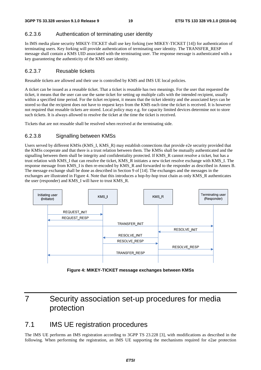### 6.2.3.6 Authentication of terminating user identity

In IMS media plane security MIKEY-TICKET shall use key forking (see MIKEY-TICKET [14]) for authentication of terminating users. Key forking will provide authentication of terminating user identity. The TRANSFER\_RESP message shall contain a KMS UID associated with the terminating user. The response message is authenticated with a key guaranteeing the authenticity of the KMS user identity.

#### 6.2.3.7 Reusable tickets

Reusable tickets are allowed and their use is controlled by KMS and IMS UE local policies.

A ticket can be issued as a reusable ticket. That a ticket is reusable has two meanings. For the user that requested the ticket, it means that the user can use the same ticket for setting up multiple calls with the intended recipient, usually within a specified time period. For the ticket recipient, it means that the ticket identity and the associated keys can be stored so that the recipient does not have to request keys from the KMS each time the ticket is received. It is however not required that reusable tickets are stored. Local policy may e.g. for capacity limited devices determine not to store such tickets. It is always allowed to resolve the ticket at the time the ticket is received.

Tickets that are not reusable shall be resolved when received at the terminating side.

### 6.2.3.8 Signalling between KMSs

Users served by different KMSs (KMS\_I, KMS\_R) may establish connections that provide e2e security provided that the KMSs cooperate and that there is a trust relation between them. The KMSs shall be mutually authenticated and the signalling between them shall be integrity and confidentiality protected. If KMS\_R cannot resolve a ticket, but has a trust relation with KMS\_I that can resolve the ticket, KMS\_R initiates a new ticket resolve exchange with KMS\_I. The response message from KMS\_I is then re-encoded by KMS\_R and forwarded to the responder as described in Annex B. The message exchange shall be done as described in Section 9 of [14]. The exchanges and the messages in the exchanges are illustrated in Figure 4. Note that this introduces a hop-by-hop trust chain as only KMS\_R authenticates the user (responder) and KMS\_I will have to trust KMS\_R.



**Figure 4: MIKEY-TICKET message exchanges between KMSs** 

## 7 Security association set-up procedures for media protection

## 7.1 IMS UE registration procedures

The IMS UE performs an IMS registration according to 3GPP TS 23.228 [3], with modifications as described in the following. When performing the registration, an IMS UE supporting the mechanisms required for e2ae protection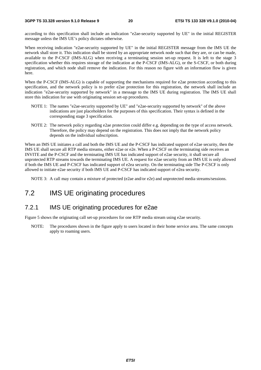according to this specification shall include an indication "e2ae-security supported by UE" in the initial REGISTER message unless the IMS UE's policy dictates otherwise.

When receiving indication "e2ae-security supported by UE" in the initial REGISTER message from the IMS UE the network shall store it. This indication shall be stored by an appropriate network node such that they are, or can be made, available to the P-CSCF (IMS-ALG) when receiving a terminating session set-up request. It is left to the stage 3 specification whether this requires storage of the indication at the P-CSCF (IMS-ALG), or the S-CSCF, or both during registration, and which node shall remove the indication. For this reason no figure with an information flow is given here.

When the P-CSCF (IMS-ALG) is capable of supporting the mechanisms required for e2ae protection according to this specification, and the network policy is to prefer e2ae protection for this registration, the network shall include an indication "e2ae-security supported by network" in a message to the IMS UE during registration. The IMS UE shall store this indication for use with originating session set-up procedures.

- NOTE 1: The names "e2ae-security supported by UE" and "e2ae-security supported by network" of the above indications are just placeholders for the purposes of this specification. Their syntax is defined in the corresponding stage 3 specification.
- NOTE 2: The network policy regarding e2ae protection could differ e.g. depending on the type of access network. Therefore, the policy may depend on the registration. This does not imply that the network policy depends on the individual subscription.

When an IMS UE initiates a call and both the IMS UE and the P-CSCF has indicated support of e2ae security, then the IMS UE shall secure all RTP media streams, either e2ae or e2e. When a P-CSCF on the terminating side receives an INVITE and the P-CSCF and the terminating IMS UE has indicated support of e2ae security, it shall secure all unprotected RTP streams towards the terminating IMS UE. A request for e2ae security from an IMS UE is only allowed if both the IMS UE and P-CSCF has indicated support of e2ea security. On the terminating side The P-CSCF is only allowed to initiate e2ae security if both IMS UE and P-CSCF has indicated support of e2ea security.

NOTE 3: A call may contain a mixture of protected (e2ae and/or e2e) and unprotected media streams/sessions.

### 7.2 IMS UE originating procedures

#### 7.2.1 IMS UE originating procedures for e2ae

Figure 5 shows the originating call set-up procedures for one RTP media stream using e2ae security.

NOTE: The procedures shown in the figure apply to users located in their home service area. The same concepts apply to roaming users.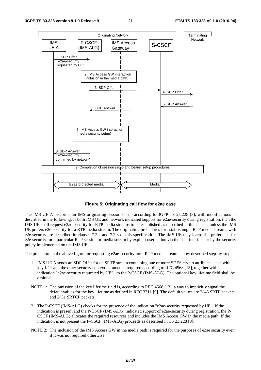

**Figure 5: Originating call flow for e2ae case** 

The IMS UE A performs an IMS originating session set-up according to 3GPP TS 23.228 [3], with modifications as described in the following. If both IMS UE and network indicated support for e2ae-security during registration, then the IMS UE shall request e2ae-security for RTP media streams to be established as described in this clause, unless the IMS UE prefers e2e-security for a RTP media stream. The originating procedures for establishing a RTP media streams with e2e-security are described in clauses 7.2.2 and 7.2.3 of this specification. The IMS UE may learn of a preference for e2e-security for a particular RTP session or media stream by explicit user action via the user interface or by the security policy implemented on the IMS UE.

The procedure in the above figure for requesting e2ae-security for a RTP media stream is now described step-by-step.

- 1. IMS UE A sends an SDP Offer for an SRTP stream containing one or more SDES crypto attributes, each with a key K11 and the other security context parameters required according to RFC 4568 [13], together with an indication "e2ae-security requested by UE", to the P-CSCF (IMS-ALG). The optional key lifetime field shall be omitted.
- NOTE 1: The omission of the key lifetime field is, according to RFC 4568 [13], a way to implicitly signal the default values for the key lifetime as defined in RFC 3711 [9]. The default values are 2^48 SRTP packets and 2^31 SRTCP packets.
- 2. The P-CSCF (IMS-ALG) checks for the presence of the indication "e2ae-security requested by UE". If the indication is present and the P-CSCF (IMS-ALG) indicated support of e2ae-security during registration, the P-CSCF (IMS-ALG) allocates the required resources and includes the IMS Access GW in the media path. If the indication is not present the P-CSCF (IMS-ALG) proceeds as described in TS 23.228 [3].
- NOTE 2: The inclusion of the IMS Access GW in the media path is required for the purposes of e2ae security even if it was not required otherwise.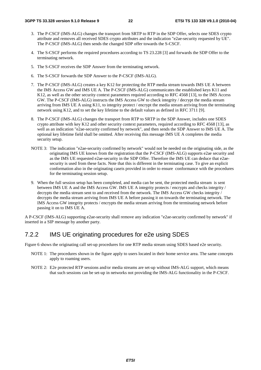- 3. The P-CSCF (IMS-ALG) changes the transport from SRTP to RTP in the SDP Offer, selects one SDES crypto attribute and removes all received SDES crypto attributes and the indication "e2ae-security requested by UE". The P-CSCF (IMS-ALG) then sends the changed SDP offer towards the S-CSCF.
- 4. The S-CSCF performs the required procedures according to TS 23.228 [3] and forwards the SDP Offer to the terminating network.
- 5. The S-CSCF receives the SDP Answer from the terminating network.
- 6. The S-CSCF forwards the SDP Answer to the P-CSCF (IMS-ALG).
- 7. The P-CSCF (IMS-ALG) creates a key K12 for protecting the RTP media stream towards IMS UE A between the IMS Access GW and IMS UE A. The P-CSCF (IMS-ALG) communicates the established keys K11 and K12, as well as the other security context parameters required according to RFC 4568 [13], to the IMS Access GW. The P-CSCF (IMS-ALG) instructs the IMS Access GW to check integrity / decrypt the media stream arriving from IMS UE A using K11, to integrity protect / encrypt the media stream arriving from the terminating network using K12, and to set the key lifetime to the default values as defined in RFC 3711 [9].
- 8. The P-CSCF (IMS-ALG) changes the transport from RTP to SRTP in the SDP Answer, includes one SDES crypto attribute with key K12 and other security context parameters, required according to RFC 4568 [13], as well as an indication "e2ae-security confirmed by network", and then sends the SDP Answer to IMS UE A. The optional key lifetime field shall be omitted. After receiving this message IMS UE A completes the media security setup.
- NOTE 3: The indication "e2ae-security confirmed by network" would not be needed on the originating side, as the originating IMS UE knows from the registration that the P-CSCF (IMS-ALG) supports e2ae security and as the IMS UE requested e2ae-security in the SDP Offer. Therefore the IMS UE can deduce that e2aesecurity is used from these facts. Note that this is different in the terminating case. To give an explicit conformation also in the originating caseis provided in order to ensure conformance with the procedures for the terminating session setup.
- 9. When the full session setup has been completed, and media can be sent, the protected media stream is sent between IMS UE A and the IMS Access GW. IMS UE A integrity protects / encrypts and checks integrity / decrypts the media stream sent to and received from the network. The IMS Access GW checks integrity / decrypts the media stream arriving from IMS UE A before passing it on towards the terminating network. The IMS Access GW integrity protects / encrypts the media stream arriving from the terminating network before passing it on to IMS UE A.

A P-CSCF (IMS-ALG) supporting e2ae-security shall remove any indication "e2ae-security confirmed by network" if inserted in a SIP message by another party.

### 7.2.2 IMS UE originating procedures for e2e using SDES

Figure 6 shows the originating call set-up procedures for one RTP media stream using SDES based e2e security.

- NOTE 1: The procedures shown in the figure apply to users located in their home service area. The same concepts apply to roaming users.
- NOTE 2: E2e protected RTP sessions and/or media streams are set-up without IMS-ALG support, which means that such sessions can be set-up in networks not providing the IMS-ALG functionality in the P-CSCF.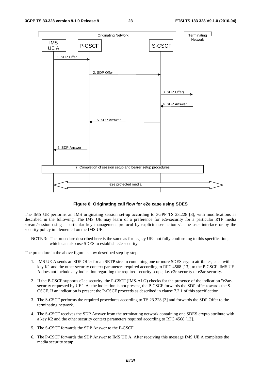

#### **Figure 6: Originating call flow for e2e case using SDES**

The IMS UE performs an IMS originating session set-up according to 3GPP TS 23.228 [3], with modifications as described in the following. The IMS UE may learn of a preference for e2e-security for a particular RTP media stream/session using a particular key management protocol by explicit user action via the user interface or by the security policy implemented on the IMS UE.

NOTE 3: The procedure described here is the same as for legacy UEs not fully conforming to this specification, which can also use SDES to establish e2e security.

The procedure in the above figure is now described step-by-step.

- 1. IMS UE A sends an SDP Offer for an SRTP stream containing one or more SDES crypto attributes, each with a key K1 and the other security context parameters required according to RFC 4568 [13], to the P-CSCF. IMS UE A does not include any indication regarding the required security scope, i.e. e2e security or e2ae security.
- 2. If the P-CSCF supports e2ae security, the P-CSCF (IMS-ALG) checks for the presence of the indication "e2aesecurity requested by UE". As the indication is not present, the P-CSCF forwards the SDP offer towards the S-CSCF. If an indication is present the P-CSCF proceeds as described in clause 7.2.1 of this specification.
- 3. The S-CSCF performs the required procedures according to TS 23.228 [3] and forwards the SDP Offer to the terminating network.
- 4. The S-CSCF receives the SDP Answer from the terminating network containing one SDES crypto attribute with a key K2 and the other security context parameters required according to RFC 4568 [13].
- 5. The S-CSCF forwards the SDP Answer to the P-CSCF.
- 6. The P-CSCF forwards the SDP Answer to IMS UE A. After receiving this message IMS UE A completes the media security setup.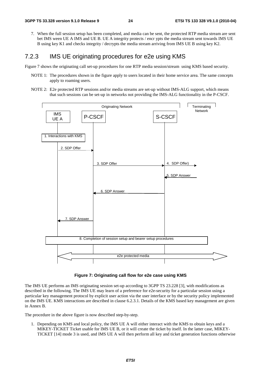7. When the full session setup has been completed, and media can be sent, the protected RTP media stream are sent bet IMS ween UE A IMS and UE B. UE A integrity protects / encr ypts the media stream sent towards IMS UE B using key K1 and checks integrity / decrypts the media stream arriving from IMS UE B using key K2.

### 7.2.3 IMS UE originating procedures for e2e using KMS

Figure 7 shows the originating call set-up procedures for one RTP media session/stream using KMS based security.

- NOTE 1: The procedures shown in the figure apply to users located in their home service area. The same concepts apply to roaming users.
- NOTE 2: E2e protected RTP sessions and/or media streams are set-up without IMS-ALG support, which means that such sessions can be set-up in networks not providing the IMS-ALG functionality in the P-CSCF.



**Figure 7: Originating call flow for e2e case using KMS** 

The IMS UE performs an IMS originating session set-up according to 3GPP TS 23.228 [3], with modifications as described in the following. The IMS UE may learn of a preference for e2e-security for a particular session using a particular key management protocol by explicit user action via the user interface or by the security policy implemented on the IMS UE. KMS interactions are described in clause 6.2.3.1. Details of the KMS based key management are given in Annex B.

The procedure in the above figure is now described step-by-step.

1. Depending on KMS and local policy, the IMS UE A will either interact with the KMS to obtain keys and a MIKEY-TICKET Ticket usable for IMS UE B, or it will create the ticket by itself. In the latter case, MIKEY-TICKET [14] mode 3 is used, and IMS UE A will then perform all key and ticket generation functions otherwise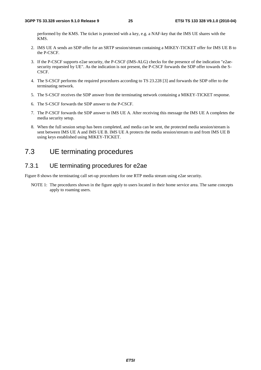performed by the KMS. The ticket is protected with a key, e.g. a NAF-key that the IMS UE shares with the KMS.

- 2. IMS UE A sends an SDP offer for an SRTP session/stream containing a MIKEY-TICKET offer for IMS UE B to the P-CSCF.
- 3. If the P-CSCF supports e2ae security, the P-CSCF (IMS-ALG) checks for the presence of the indication "e2aesecurity requested by UE". As the indication is not present, the P-CSCF forwards the SDP offer towards the S-CSCF.
- 4. The S-CSCF performs the required procedures according to TS 23.228 [3] and forwards the SDP offer to the terminating network.
- 5. The S-CSCF receives the SDP answer from the terminating network containing a MIKEY-TICKET response.
- 6. The S-CSCF forwards the SDP answer to the P-CSCF.
- 7. The P-CSCF forwards the SDP answer to IMS UE A. After receiving this message the IMS UE A completes the media security setup.
- 8. When the full session setup has been completed, and media can be sent, the protected media session/stream is sent between IMS UE A and IMS UE B. IMS UE A protects the media session/stream to and from IMS UE B using keys established using MIKEY-TICKET.

## 7.3 UE terminating procedures

### 7.3.1 UE terminating procedures for e2ae

Figure 8 shows the terminating call set-up procedures for one RTP media stream using e2ae security.

NOTE 1: The procedures shown in the figure apply to users located in their home service area. The same concepts apply to roaming users.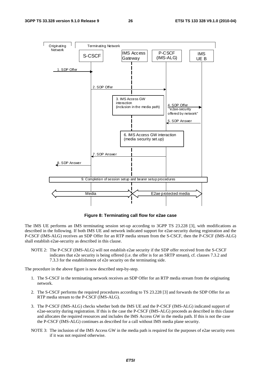

**Figure 8: Terminating call flow for e2ae case** 

The IMS UE performs an IMS terminating session set-up according to 3GPP TS 23.228 [3], with modifications as described in the following. If both IMS UE and network indicated support for e2ae-security during registration and the P-CSCF (IMS-ALG) receives an SDP Offer for an RTP media stream from the S-CSCF, then the P-CSCF (IMS-ALG) shall establish e2ae-security as described in this clause.

NOTE 2: The P-CSCF (IMS-ALG) will not establish e2ae security if the SDP offer received from the S-CSCF indicates that e2e security is being offered (i.e. the offer is for an SRTP stream), cf. clauses 7.3.2 and 7.3.3 for the establishment of e2e security on the terminating side.

The procedure in the above figure is now described step-by-step.

- 1. The S-CSCF in the terminating network receives an SDP Offer for an RTP media stream from the originating network.
- 2. The S-CSCF performs the required procedures according to TS 23.228 [3] and forwards the SDP Offer for an RTP media stream to the P-CSCF (IMS-ALG).
- 3. The P-CSCF (IMS-ALG) checks whether both the IMS UE and the P-CSCF (IMS-ALG) indicated support of e2ae-security during registration. If this is the case the P-CSCF (IMS-ALG) proceeds as described in this clause and allocates the required resources and includes the IMS Access GW in the media path. If this is not the case the P-CSCF (IMS-ALG) continues as described for a call without IMS media plane security.
- NOTE 3: The inclusion of the IMS Access GW in the media path is required for the purposes of e2ae security even if it was not required otherwise.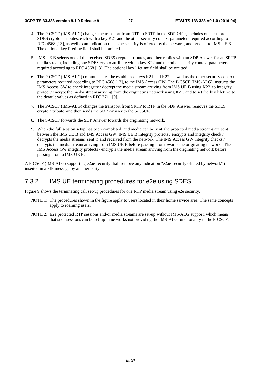- 4. The P-CSCF (IMS-ALG) changes the transport from RTP to SRTP in the SDP Offer, includes one or more SDES crypto attributes, each with a key K21 and the other security context parameters required according to RFC 4568 [13], as well as an indication that e2ae security is offered by the network, and sends it to IMS UE B. The optional key lifetime field shall be omitted.
- 5. IMS UE B selects one of the received SDES crypto attributes, and then replies with an SDP Answer for an SRTP media stream, including one SDES crypto attribute with a key K22 and the other security context parameters required according to RFC 4568 [13]. The optional key lifetime field shall be omitted.
- 6. The P-CSCF (IMS-ALG) communicates the established keys K21 and K22, as well as the other security context parameters required according to RFC 4568 [13], to the IMS Access GW. The P-CSCF (IMS-ALG) instructs the IMS Access GW to check integrity / decrypt the media stream arriving from IMS UE B using K22, to integrity protect / encrypt the media stream arriving from the originating network using K21, and to set the key lifetime to the default values as defined in RFC 3711 [9].
- 7. The P-CSCF (IMS-ALG) changes the transport from SRTP to RTP in the SDP Answer, removes the SDES crypto attribute, and then sends the SDP Answer to the S-CSCF.
- 8. The S-CSCF forwards the SDP Answer towards the originating network.
- 9. When the full session setup has been completed, and media can be sent, the protected media streams are sent between the IMS UE B and IMS Access GW. IMS UE B integrity protects / encrypts and integrity check / decrypts the media streams sent to and received from the network. The IMS Access GW integrity checks / decrypts the media stream arriving from IMS UE B before passing it on towards the originating network. The IMS Access GW integrity protects / encrypts the media stream arriving from the originating network before passing it on to IMS UE B.

A P-CSCF (IMS-ALG) supporting e2ae-security shall remove any indication "e2ae-security offered by network" if inserted in a SIP message by another party.

### 7.3.2 IMS UE terminating procedures for e2e using SDES

Figure 9 shows the terminating call set-up procedures for one RTP media stream using e2e security.

- NOTE 1: The procedures shown in the figure apply to users located in their home service area. The same concepts apply to roaming users.
- NOTE 2: E2e protected RTP sessions and/or media streams are set-up without IMS-ALG support, which means that such sessions can be set-up in networks not providing the IMS-ALG functionality in the P-CSCF.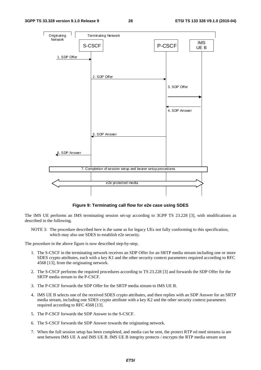

**Figure 9: Terminating call flow for e2e case using SDES** 

The IMS UE performs an IMS terminating session set-up according to 3GPP TS 23.228 [3], with modifications as described in the following.

NOTE 3: The procedure described here is the same as for legacy UEs not fully conforming to this specification, which may also use SDES to establish e2e security.

The procedure in the above figure is now described step-by-step.

- 1. The S-CSCF in the terminating network receives an SDP Offer for an SRTP media stream including one or more SDES crypto attributes, each with a key K1 and the other security context parameters required according to RFC 4568 [13], from the originating network.
- 2. The S-CSCF performs the required procedures according to TS 23.228 [3] and forwards the SDP Offer for the SRTP media stream to the P-CSCF.
- 3. The P-CSCF forwards the SDP Offer for the SRTP media stream to IMS UE B.
- 4. IMS UE B selects one of the received SDES crypto attributes, and then replies with an SDP Answer for an SRTP media stream, including one SDES crypto attribute with a key K2 and the other security context parameters required according to RFC 4568 [13].
- 5. The P-CSCF forwards the SDP Answer to the S-CSCF.
- 6. The S-CSCF forwards the SDP Answer towards the originating network.
- 7. When the full session setup has been completed, and media can be sent, the protect RTP ed med streams ia are sent between IMS UE A and IMS UE B. IMS UE B integrity protects / encrypts the RTP media stream sent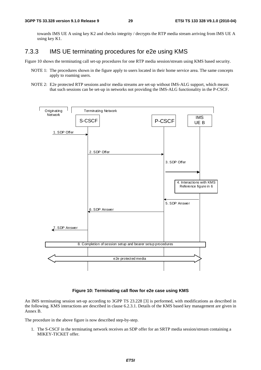towards IMS UE A using key K2 and checks integrity / decrypts the RTP media stream arriving from IMS UE A using key K1.

## 7.3.3 IMS UE terminating procedures for e2e using KMS

Figure 10 shows the terminating call set-up procedures for one RTP media session/stream using KMS based security.

- NOTE 1: The procedures shown in the figure apply to users located in their home service area. The same concepts apply to roaming users.
- NOTE 2: E2e protected RTP sessions and/or media streams are set-up without IMS-ALG support, which means that such sessions can be set-up in networks not providing the IMS-ALG functionality in the P-CSCF.



#### **Figure 10: Terminating call flow for e2e case using KMS**

An IMS terminating session set-up according to 3GPP TS 23.228 [3] is performed, with modifications as described in the following. KMS interactions are described in clause 6.2.3.1. Details of the KMS based key management are given in Annex B.

The procedure in the above figure is now described step-by-step.

1. The S-CSCF in the terminating network receives an SDP offer for an SRTP media session/stream containing a MIKEY-TICKET offer.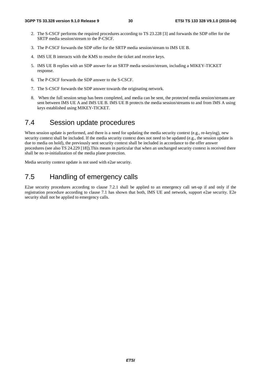- 2. The S-CSCF performs the required procedures according to TS 23.228 [3] and forwards the SDP offer for the SRTP media session/stream to the P-CSCF.
- 3. The P-CSCF forwards the SDP offer for the SRTP media session/stream to IMS UE B.
- 4. IMS UE B interacts with the KMS to resolve the ticket and receive keys.
- 5. IMS UE B replies with an SDP answer for an SRTP media session/stream, including a MIKEY-TICKET response.
- 6. The P-CSCF forwards the SDP answer to the S-CSCF.
- 7. The S-CSCF forwards the SDP answer towards the originating network.
- 8. When the full session setup has been completed, and media can be sent, the protected media session/streams are sent between IMS UE A and IMS UE B. IMS UE B protects the media session/streams to and from IMS A using keys established using MIKEY-TICKET.

### 7.4 Session update procedures

When session update is performed, and there is a need for updating the media security context (e.g., re-keying), new security context shall be included. If the media security context does not need to be updated (e.g., the session update is due to media on hold), the previously sent security context shall be included in accordance to the offer answer procedures (see also TS 24.229 [18]).This means in particular that when an unchanged security context is received there shall be no re-initialization of the media plane protection.

Media security context update is not used with e2ae security.

## 7.5 Handling of emergency calls

E2ae security procedures according to clause 7.2.1 shall be applied to an emergency call set-up if and only if the registration procedure according to clause 7.1 has shown that both, IMS UE and network, support e2ae security. E2e security shall not be applied to emergency calls.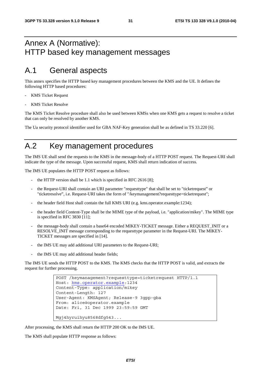## Annex A (Normative): HTTP based key management messages

## A.1 General aspects

This annex specifies the HTTP based key management procedures between the KMS and the UE. It defines the following HTTP based procedures:

- KMS Ticket Request
- KMS Ticket Resolve

The KMS Ticket Resolve procedure shall also be used between KMSs when one KMS gets a request to resolve a ticket that can only be resolved by another KMS.

The Ua security protocol identifier used for GBA NAF-Key generation shall be as defined in TS 33.220 [6].

## A.2 Key management procedures

The IMS UE shall send the requests to the KMS in the message-body of a HTTP POST request. The Request-URI shall indicate the type of the message. Upon successful request, KMS shall return indication of success.

The IMS UE populates the HTTP POST request as follows:

- the HTTP version shall be 1.1 which is specified in RFC 2616 [8];
- the Request-URI shall contain an URI parameter "requesttype" that shall be set to "ticketrequest" or "ticketresolve", i.e. Request-URI takes the form of "/keymanagement?requesttype=ticketrequest";
- the header field Host shall contain the full KMS URI (e.g. kms.operator.example:1234);
- the header field Content-Type shall be the MIME type of the payload, i.e. "application/mikey". The MIME type is specified in RFC 3830 [11];
- the message-body shall contain a base64 encoded MIKEY-TICKET message. Either a REQUEST\_INIT or a RESOLVE\_INIT message corresponding to the requesttype parameter in the Request-URI. The MIKEY-TICKET messages are specified in [14].
- the IMS UE may add additional URI parameters to the Request-URI;
- the IMS UE may add additional header fields;

The IMS UE sends the HTTP POST to the KMS. The KMS checks that the HTTP POST is valid, and extracts the request for further processing.

```
POST /keymanagement?requesttype=ticketrequest HTTP/1.1 
Host: kms.operator.example:1234 
Content-Type: application/mikey 
Content-Length: 127 
User-Agent: KMSAgent; Release-9 3gpp-gba 
From: alice@operator.example 
Date: Fri, 31 Dec 1999 23:59:59 GMT 
Mgj4hyruihyu8568dfg543...
```
After processing, the KMS shall return the HTTP 200 OK to the IMS UE.

The KMS shall populate HTTP response as follows: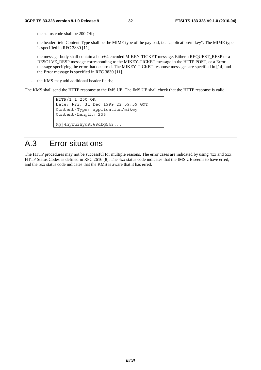- the status code shall be  $200 \text{ OK}$ :
- the header field Content-Type shall be the MIME type of the payload, i.e. "application/mikey". The MIME type is specified in RFC 3830 [11];
- the message-body shall contain a base64 encoded MIKEY-TICKET message. Either a REQUEST\_RESP or a RESOLVE\_RESP message corresponding to the MIKEY-TICKET message in the HTTP POST, or a Error message specifying the error that occurred. The MIKEY-TICKET response messages are specified in [14] and the Error message is specified in RFC 3830 [11].
- the KMS may add additional header fields;

The KMS shall send the HTTP response to the IMS UE. The IMS UE shall check that the HTTP response is valid.

```
HTTP/1.1 200 OK 
Date: Fri, 31 Dec 1999 23:59:59 GMT 
Content-Type: application/mikey 
Content-Length: 235 
Mgj4hyruihyu8568dfg543...
```
## A.3 Error situations

The HTTP procedures may not be successful for multiple reasons. The error cases are indicated by using 4xx and 5xx HTTP Status Codes as defined in RFC 2616 [8]. The 4xx status code indicates that the IMS UE seems to have erred, and the 5xx status code indicates that the KMS is aware that it has erred.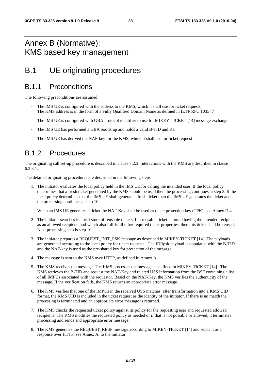## Annex B (Normative): KMS based key management

## B.1 UE originating procedures

## B.1.1 Preconditions

The following preconditions are assumed:

- The IMS UE is configured with the address to the KMS, which it shall use for ticket requests. The KMS address is in the form of a Fully Qualified Domain Name as defined in IETF RFC 1035 [7]
- The IMS UE is configured with GBA protocol identifier to use for MIKEY-TICKET [14] message exchange.
- The IMS UE has performed a GBA bootstrap and holds a valid B-TID and Ks.
- The IMS UE has derived the NAF-key for the KMS, which it shall use for ticket request

## B.1.2 Procedures

The originating call set-up procedure is described in clause 7.2.3. Interactions with the KMS are described in clause 6.2.3.1.

The detailed originating procedures are described in the following steps

1. The initiator evaluates the local policy held in the IMS UE for calling the intended user. If the local policy determines that a fresh ticket generated by the KMS should be used then the processing continues at step 3. If the local policy determines that the IMS UE shall generate a fresh ticket then the IMS UE generates the ticket and the processing continues at step 10.

When an IMS UE generates a ticket the NAF-Key shall be used as ticket protection key (TPK), see Annex D.4.

- 2. The initiator searches its local store of reusable tickets. If a reusable ticket is found having the intended recipient as an allowed recipient, and which also fulfils all other required ticket properties, then this ticket shall be reused. Next processing step is step 10.
- 3. The initiator prepares a REQUEST\_INIT\_PSK message as described in MIKEY-TICKET [14]. The payloads are generated according to the local policy for ticket requests. The IDRpsk payload is populated with the B-TID and the NAF-key is used as the pre-shared key for protection of the message.
- 4. The message is sent to the KMS over HTTP, as defined in Annex A.
- 5. The KMS receives the message. The KMS processes the message as defined in MIKEY-TICKET [14]. The KMS retrieves the B-TID and request the NAF-Key and related USS information from the BSF containing a list of all IMPUs associated with the requestor. Based on the NAF-Key, the KMS verifies the authenticity of the message. If the verification fails, the KMS returns an appropriate error message.
- 6. The KMS verifies that one of the IMPUs in the received USS matches, after transformation into a KMS UID format, the KMS UID is included in the ticket request as the identity of the initiator. If there is no match the processing is terminated and an appropriate error message is returned.
- 7. The KMS checks the requested ticket policy against its policy for the requesting user and requested allowed recipients. The KMS modifies the requested policy as needed or if that is not possible or allowed, it terminates processing and sends and appropriate error message.
- 8. The KMS generates the REQUEST\_RESP message according to MIKEY-TICKET [14] and sends it as a response over HTTP, see Annex A, to the initiator.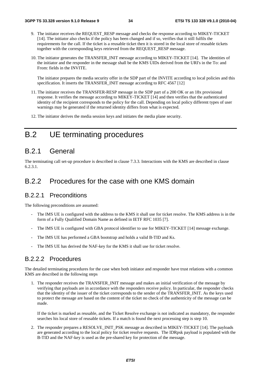- 9. The initiator receives the REQUEST\_RESP message and checks the response according to MIKEY-TICKET [14]. The initiator also checks if the policy has been changed and if so, verifies that it still fulfils the requirements for the call. If the ticket is a reusable ticket then it is stored in the local store of reusable tickets together with the corresponding keys retrieved from the REQUEST\_RESP message.
- 10. The initiator generates the TRANSFER\_INIT message according to MIKEY-TICKET [14]. The identities of the initiator and the responder in the message shall be the KMS UIDs derived from the URI's in the To: and From: fields in the INVITE.

The initiator prepares the media security offer in the SDP part of the INVITE according to local policies and this specification. It inserts the TRANSFER\_INIT message according to RFC 4567 [12]

- 11. The initiator receives the TRANSFER-RESP message in the SDP part of a 200 OK or an 18x provisional response. It verifies the message according to MIKEY-TICKET [14] and then verifies that the authenticated identity of the recipient corresponds to the policy for the call. Depending on local policy different types of user warnings may be generated if the returned identity differs from what is expected.
- 12. The initiator derives the media session keys and initiates the media plane security.

## B.2 UE terminating procedures

### B.2.1 General

The terminating call set-up procedure is described in clause 7.3.3. Interactions with the KMS are described in clause 6.2.3.1.

### B.2.2 Procedures for the case with one KMS domain

### B.2.2.1 Preconditions

The following preconditions are assumed:

- The IMS UE is configured with the address to the KMS it shall use for ticket resolve. The KMS address is in the form of a Fully Qualified Domain Name as defined in IETF RFC 1035 [7].
- The IMS UE is configured with GBA protocol identifier to use for MIKEY-TICKET [14] message exchange.
- The IMS UE has performed a GBA bootstrap and holds a valid B-TID and Ks.
- The IMS UE has derived the NAF-key for the KMS it shall use for ticket resolve.

### B.2.2.2 Procedures

The detailed terminating procedures for the case when both initiator and responder have trust relations with a common KMS are described in the following steps

1. The responder receives the TRANSFER\_INIT message and makes an initial verification of the message by verifying that payloads are in accordance with the responders receive policy. In particular, the responder checks that the identity of the issuer of the ticket corresponds to the sender of the TRANSFER\_INIT. As the keys used to protect the message are based on the content of the ticket no check of the authenticity of the message can be made.

If the ticket is marked as reusable, and the Ticket Resolve exchange is not indicated as mandatory, the responder searches his local store of reusable tickets. If a match is found the next processing step is step 10.

2. The responder prepares a RESOLVE\_INIT\_PSK message as described in MIKEY-TICKET [14]. The payloads are generated according to the local policy for ticket resolve requests. The IDRpsk payload is populated with the B-TID and the NAF-key is used as the pre-shared key for protection of the message.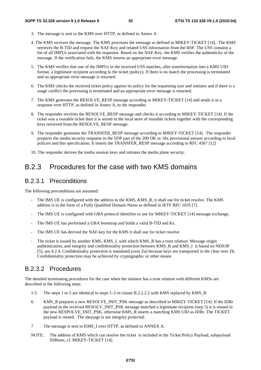- 3. The message is sent to the KMS over HTTP, as defined in Annex A.
- 4. The KMS receives the message. The KMS processes the message as defined in MIKEY-TICKET [14]. The KMS retrieves the B-TID and request the NAF-Key and related USS information from the BSF. The USS contains a list of all IMPUs associated with the requestor. Based on the NAF-Key, the KMS verifies the authenticity of the message. If the verification fails, the KMS returns an appropriate error message.
- 5. The KMS verifies that one of the IMPUs in the received USS matches, after transformation into a KMS UID format, a legitimate recipient according to the ticket (policy). If there is no match the processing is terminated and an appropriate error message is returned.
- 6. The KMS checks the received ticket policy against its policy for the requesting user and initiator and if there is a usage conflict the processing is terminated and an appropriate error message is returned.
- 7. The KMS generates the RESOLVE\_RESP message according to MIKEY-TICKET [14] and sends it as a response over HTTP, as defined in Annex A, to the responder.
- 8. The responder receives the RESOLVE\_RESP message and checks it according to MIKEY-TICKET [14]. If the ticket was a reusable ticket then it is stored in the local store of reusable tickets together with the corresponding keys retrieved from the RESOLVE\_RESP message.
- 9. The responder generates the TRANSFER RESP message according to MIKEY-TICKET [14]. The responder prepares the media security response in the SDP part of the 200 OK or 18x provisional answer according to local policies and this specification. It inserts the TRANSFER\_RESP message according to RFC 4567 [12]
- 10. The responder derives the media session keys and initiates the media plane security.

### B.2.3 Procedures for the case with two KMS domains

### B.2.3.1 Preconditions

The following preconditions are assumed:

- The IMS UE is configured with the address to the KMS, KMS, R, it shall use for ticket resolve. The KMS address is in the form of a Fully Qualified Domain Name as defined in IETF RFC 1035 [7].
- The IMS UE is configured with GBA protocol identifier to use for MIKEY-TICKET [14] message exchange.
- The IMS UE has performed a GBA bootstrap and holds a valid B-TID and Ks.
- The IMS UE has derived the NAF-key for the KMS it shall use for ticket resolve.
- The ticket is issued by another KMS, KMS\_I, with which KMS\_R has a trust relation. Message origin authentication, and integrity and confidentiality protection between KMS\_R and KMS\_I is based on NDS/IP [5], see 4.2.4. Confidentiality protection is mandated (over Za) because keys are transported in the clear over Zk. Confidentiality protection may be achieved by cryptographic or other means

### B.2.3.2 Procedures

The detailed terminating procedures for the case when the initiator has a trust relation with different KMSs are described in the following steps

- 1-5. The steps 1 to 5 are identical to steps 1–5 in clause B.2.2.2.2 with KMS replaced by KMS\_R
- 6. KMS\_R prepares a new RESOLVE\_INIT\_PSK message as described in MIKEY-TICKET [14]. If the IDRr payload in the received RESOLV\_INIT\_PSK message matched a legitimate recipient (step 5) it is reused in the new RESPOLVE\_INIT\_PSK, otherwise KMS\_R inserts a matching KMS UID as IDRr. The TICKET payload is reused. The message is not integrity protected.
- 7 The message is sent to KMS\_I over HTTP, as defined in ANNEX A.
- NOTE: The address of KMS which can resolve the ticket is included in the Ticket.Policy Payload, subpayload IDRkms, cf. MIKEY-TICKET [14].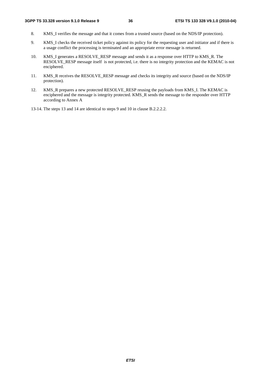- 8. KMS I verifies the message and that it comes from a trusted source (based on the NDS/IP protection).
- 9. KMS\_I checks the received ticket policy against its policy for the requesting user and initiator and if there is a usage conflict the processing is terminated and an appropriate error message is returned.
- 10. KMS I generates a RESOLVE\_RESP message and sends it as a response over HTTP to KMS\_R. The RESOLVE\_RESP message itself is not protected, i.e. there is no integrity protection and the KEMAC is not enciphered.
- 11. KMS\_R receives the RESOLVE\_RESP message and checks its integrity and source (based on the NDS/IP protection).
- 12. KMS R prepares a new protected RESOLVE\_RESP reusing the payloads from KMS\_I. The KEMAC is enciphered and the message is integrity protected. KMS\_R sends the message to the responder over HTTP according to Annex A
- 13-14. The steps 13 and 14 are identical to steps 9 and 10 in clause B.2.2.2.2.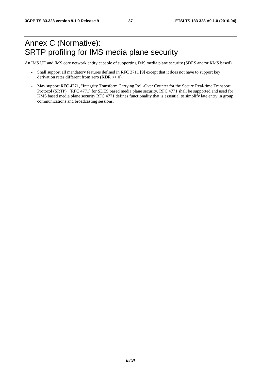## Annex C (Normative): SRTP profiling for IMS media plane security

An IMS UE and IMS core network entity capable of supporting IMS media plane security (SDES and/or KMS based)

- Shall support all mandatory features defined in RFC 3711 [9] except that it does not have to support key derivation rates different from zero (KDR  $\leq$  0).
- May support RFC 4771, "Integrity Transform Carrying Roll-Over Counter for the Secure Real-time Transport Protocol (SRTP)" [RFC 4771] for SDES based media plane security. RFC 4771 shall be supported and used for KMS based media plane security RFC 4771 defines functionality that is essential to simplify late entry in group communications and broadcasting sessions.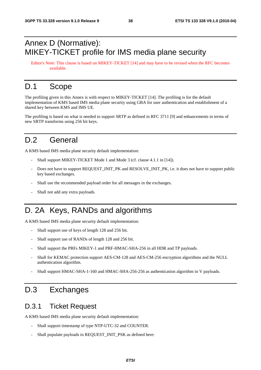## Annex D (Normative): MIKEY-TICKET profile for IMS media plane security

Editor's Note: This clause is based on MIKEY-TICKET [14] and may have to be revised when the RFC becomes available.

## D.1 Scope

The profiling given in this Annex is with respect to MIKEY-TICKET [14]. The profiling is for the default implementation of KMS based IMS media plane security using GBA for user authentication and establishment of a shared key between KMS and IMS UE.

The profiling is based on what is needed to support SRTP as defined in RFC 3711 [9] and enhancements in terms of new SRTP transforms using 256 bit keys.

## D.2 General

A KMS based IMS media plane security default implementation:

- Shall support MIKEY-TICKET Mode 1 and Mode 3 (cf. clause 4.1.1 in [14]).
- Does not have to support REQUEST\_INIT\_PK and RESOLVE\_INIT\_PK, i.e. it does not have to support public key based exchanges.
- Shall use the recommended payload order for all messages in the exchanges.
- Shall not add any extra payloads.

## D. 2A Keys, RANDs and algorithms

A KMS based IMS media plane security default implementation:

- Shall support use of keys of length 128 and 256 bit.
- Shall support use of RANDs of length 128 and 256 bit.
- Shall support the PRFs MIKEY-1 and PRF-HMAC-SHA-256 in all HDR and TP payloads.
- Shall for KEMAC protection support AES-CM-128 and AES-CM-256 encryption algorithms and the NULL authentication algorithm.
- Shall support HMAC-SHA-1-160 and HMAC-SHA-256-256 as authentication algorithm in V payloads.

## D.3 Exchanges

### D.3.1 Ticket Request

A KMS based IMS media plane security default implementation:

- Shall support timestamp of type NTP-UTC-32 and COUNTER.
- Shall populate payloads in REQUEST\_INIT\_PSK as defined here: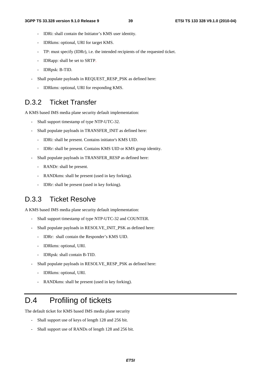- IDRi: shall contain the Initiator's KMS user identity.
- IDRkms: optional, URI for target KMS.
- TP: must specify (IDRr), i.e. the intended recipients of the requested ticket.
- IDRapp: shall be set to SRTP.
- IDRpsk: B-TID.
- Shall populate payloads in REQUEST\_RESP\_PSK as defined here:
	- IDRkms: optional, URI for responding KMS.

## D.3.2 Ticket Transfer

A KMS based IMS media plane security default implementation:

- Shall support timestamp of type NTP-UTC-32.
- Shall populate payloads in TRANSFER\_INIT as defined here:
	- IDRi: shall be present. Contains initiator's KMS UID.
	- IDRr: shall be present. Contains KMS UID or KMS group identity.
- Shall populate payloads in TRANSFER\_RESP as defined here:
	- RANDr: shall be present.
	- RANDkms: shall be present (used in key forking).
	- IDRr: shall be present (used in key forking).

## D.3.3 Ticket Resolve

A KMS based IMS media plane security default implementation:

- Shall support timestamp of type NTP-UTC-32 and COUNTER.
- Shall populate payloads in RESOLVE\_INIT\_PSK as defined here:
	- IDRr: shall contain the Responder's KMS UID.
	- IDRkms: optional, URI.
	- IDRpsk: shall contain B-TID.
- Shall populate payloads in RESOLVE\_RESP\_PSK as defined here:
	- IDRkms: optional, URI.
	- RANDkms: shall be present (used in key forking).

## D.4 Profiling of tickets

The default ticket for KMS based IMS media plane security

- Shall support use of keys of length 128 and 256 bit.
- Shall support use of RANDs of length 128 and 256 bit.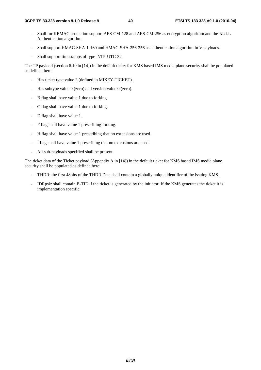- Shall for KEMAC protection support AES-CM-128 and AES-CM-256 as encryption algorithm and the NULL Authentication algorithm.
- Shall support HMAC-SHA-1-160 and HMAC-SHA-256-256 as authentication algorithm in V payloads.
- Shall support timestamps of type NTP-UTC-32.

The TP payload (section 6.10 in [14]) in the default ticket for KMS based IMS media plane security shall be populated as defined here:

- Has ticket type value 2 (defined in MIKEY-TICKET).
- Has subtype value  $0$  (zero) and version value  $0$  (zero).
- B flag shall have value 1 due to forking.
- C flag shall have value 1 due to forking.
- D flag shall have value 1.
- F flag shall have value 1 prescribing forking.
- H flag shall have value 1 prescribing that no extensions are used.
- I flag shall have value 1 prescribing that no extensions are used.
- All sub-payloads specified shall be present.

The ticket data of the Ticket payload (Appendix A in [14]) in the default ticket for KMS based IMS media plane security shall be populated as defined here:

- THDR: the first 48bits of the THDR Data shall contain a globally unique identifier of the issuing KMS.
- IDRpsk: shall contain B-TID if the ticket is generated by the initiator. If the KMS generates the ticket it is implementation specific.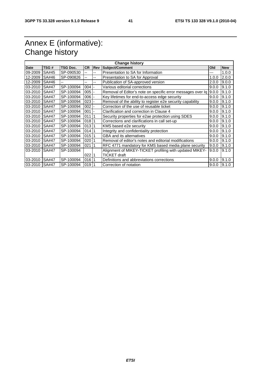## Annex E (informative): Change history

| <b>Change history</b> |              |                 |           |            |                                                             |       |            |
|-----------------------|--------------|-----------------|-----------|------------|-------------------------------------------------------------|-------|------------|
| Date                  | TSG#         | <b>TSG Doc.</b> | <b>CR</b> | <b>Rev</b> | <b>Subject/Comment</b>                                      | Old   | <b>New</b> |
| 09-2009               | SA#45        | SP-090530       | --        | --         | Presentation to SA for Information                          | ---   | 1.0.0      |
| 12-2009               | SA#46        | SP-090826       | --        | --         | Presentation to SA for Approval                             | 1.0.0 | 2.0.0      |
| 12-2009               | SA#46        |                 | $-$       | -−         | Publication of SA-approved version                          | 2.0.0 | 9.0.0      |
| 03-2010               | <b>SA#47</b> | SP-100094       | 004       |            | Various editorial corrections                               | 9.0.0 | 9.1.0      |
| 03-2010               | <b>SA#47</b> | SP-100094       | 005       |            | Removal of Editor's note on specific error messages over Iq | 9.0.0 | 9.1.0      |
| 03-2010               | <b>SA#47</b> | SP-100094       | 006       |            | Key lifetimes for end-to-access edge security               | 9.0.0 | 9.1.0      |
| 03-2010               | <b>SA#47</b> | SP-100094       | 023       |            | Removal of the ability to register e2e security capability  | 9.0.0 | 9.1.0      |
| 03-2010               | <b>SA#47</b> | SP-100094       | 002       |            | Correction of the use of reusable ticket                    | 9.0.0 | 9.1.0      |
| 03-2010               | <b>SA#47</b> | SP-100094       | 001       |            | Clarification and correction in Clause 4                    | 9.0.0 | 9.1.0      |
| 03-2010               | <b>SA#47</b> | SP-100094       | 011       |            | Security properties for e2ae protection using SDES          | 9.0.0 | 9.1.0      |
| 03-2010               | <b>SA#47</b> | SP-100094       | 01811     |            | Corrections and clarifications in call set-up               | 9.0.0 | 9.1.0      |
| 03-2010               | <b>SA#47</b> | SP-100094       | 01311     |            | KMS based e2e security                                      | 9.0.0 | 9.1.0      |
| 03-2010               | <b>SA#47</b> | SP-100094       | 01411     |            | Integrity and confidentiality protection                    | 9.0.0 | 9.1.0      |
| 03-2010               | <b>SA#47</b> | SP-100094       | 015       |            | <b>GBA and its alternatives</b>                             | 9.0.0 | 9.1.0      |
| 03-2010               | <b>SA#47</b> | SP-100094       | 020       |            | Removal of editor's notes and editorial modifications       | 9.0.0 | 9.1.0      |
| 03-2010               | <b>SA#47</b> | SP-100094       | 021       |            | RFC 4771 mandatory for KMS based media plane security       | 9.0.0 | 9.1.0      |
| 03-2010               | SA#47        | SP-100094       |           |            | Alignment of MIKEY-TICKET profiling with updated MIKEY-     | 9.0.0 | 9.1.0      |
|                       |              |                 | 02211     |            | <b>TICKET draft</b>                                         |       |            |
| 03-2010               | <b>SA#47</b> | SP-100094       | 016       | -1         | Definitions and abbreviations corrections                   | 9.0.0 | 9.1.0      |
| 03-2010 SA#47         |              | SP-100094       | 019 1     |            | Correction of notation                                      | 9.0.0 | 9.1.0      |